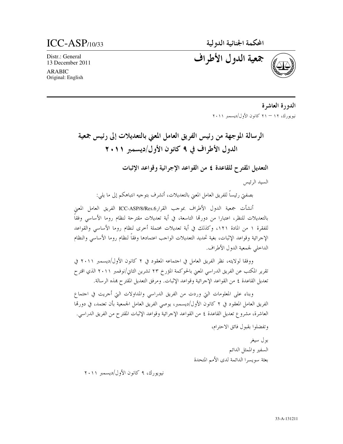المحكمة الجنائية الدولية

 $ICC-ASP$ <sub>10/33</sub>

Distr.: General 13 December 2011

**ARABIC** Original: English جمعية الدول الأطراف

الدورة العاشرة نيويورك، ١٢ – ٢١ كانون الأول/ديسمبر ٢٠١١

الرسالة الموجهة من رئيس الفريق العامل المعنى بالتعديلات إلى رئيس جمعية الدول الأطراف في ٩ كانون الأول/ديسمبر ٢٠١١

التعديل المقترح للقاعدة ٤ من القواعد الإجرائية وقواعد الإثبات

السيد الرئيس

بصفتي رئيساً للفريق العامل المعنى بالتعديلات، أتشرف بتوجيه انتباهكم إلى ما يلي:

أنشأت جمعية الدول الأطراف بموحب القرارASP/8/Res.6الفريق العامل المعنى بالتعديلات للنظر، اعتبارا من دورتما التاسعة، في أية تعديلات مقترحة لنظام روما الأساسى وفقاً للفقرة ١ من المادة ١٢١، وكذلك في أية تعديلات محتملة أحرى لنظام روما الأساسي والقواعد الإحرائية وقواعد الإثبات، بغية تحديد التعديلات الواحب اعتمادها وفقاً لنظام روما الأساسى والنظام الداحلي لجمعية الدول الأطراف.

ووفقا لولايته، نظر الفريق العامل في احتماعه المعقود في ٢ كانون الأول/ديسمبر ٢٠١١ في تقرير المكتب عن الفريق الدراسي المعنى بالحوكمة المؤرخ ٢٣ تشرين الثاني/نوفمبر ٢٠١١ الذي اقترح تعديل القاعدة ٤ من القواعد الإحرائية وقواعد الإثبات. ومرفق التعديل المقترح هذه الرسالة.

وبناء على المعلومات التي وردت من الفريق الدراسي والمداولات التي أحريت في احتماع الفريق العامل المعقود في ٢ كانون الأول/ديسمبر، يوصى الفريق العامل الجمعية بأن تعتمد، في دورتما العاشرة، مشروع تعديل القاعدة ٤ من القواعد الإحرائية وقواعد الإثبات المقترح من الفريق الدراسي.

وتفضلوا بقبول فائق الاحترام،

بول سيغر السفير والممثل الدائم بعثة سويسرا الدائمة لدى الأمم المتحدة

نيويورك، ٩ كانون الأول/ديسمبر ٢٠١١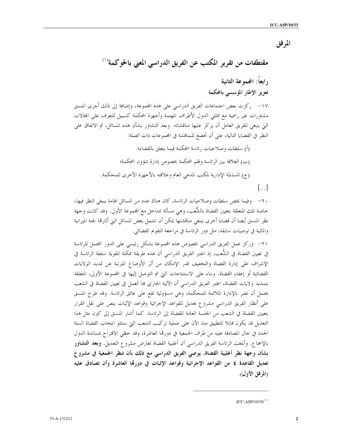المرفق

٢٠ – وفيما يخص سلطات وصلاحيات الرئاسة، كان هناك عدد من المسائل الهامة ينبغي النظر فيها، خاصة تلك المتعلقة بتعيين القضاة بالشُّعَب، وهي مسألة تتداخل مع المجموعة الأولى. وقد كانت وجهة نظر المنسق أيضا أن قضايا أحرى ينبغي مناقشتها يمكن أن تشمل بعض المسائل التي أثارتما لجنة الميزانية والمالية في توصيات سابقة، مثل دور الرئاسة في مراجعة التقويم القضائي.

٢١- وركز عمل الفريق الدراسي بخصوص هذه المحموعة بشكل رئيسي على الدور المحتمل للرئاسة في تعيين القضاة في الشُّعب، إذ اعتبر الفريق الدراسي أن هذه طريقة ممكنة لتقوية سلطة الرئاسة في الإشراف على إدارة القضاة والتخفيف قدر الإمكان من أثر الأوضاع المترتبة عن تمديد الولايات القضائية أو إعفاء القضاة. وبناء على الاستنتاجات التي تم التوصل إليها في المحموعة الأولى، المتعلقة بتمديد ولايات القضاة، اعتبر الفريق الدراسي أن الآلية الجاري ها العمل في تعيين القضاة في الشعب يحتمل أن تضر بالإدارة الملائمة للمحكمة، وهي مسؤولية تقع على عاتق الرئاسة. وقد طرح المنسق على أنظار الفريق الدراسي مشروع تعديل للقواعد الإحرائية وقواعد الإثبات ينص على نقل القرار بتعيين القضاة في الشعب من الجلسة العامة للقضاة إلى الرئاسة. كما أشار المنسق إلى كون مثل هذا التعديل قد يكون قابلا للتطبيق منذ الآن على عملية تركيب الشعب التي ستتلو انتخاب القضاة الستة الجدد في حال المصادقة عليه من طرف الجمعية في دورتما العاشرة، وقد حظى الاقتراح بمساندة الدول بالإجماع. وأبلغت الرئاسة الفريق الدراسي أن أغلبية القضاة تعارض مشروع التعديل. وبعد ا**لتشاور** بشأن وجهة نظر أغلبية القضاة، يوصى الفريق الدراسي مع ذلك بأن تنظر الجمعية في مشروع تعديل القاعدة £ من القواعد الإجرائية وقواعد الإثبات في دورهّا العاشرة وأن تصادق عليه (المرفق الأول).

<sup>.</sup>ICC-ASP/10/30 $(1)$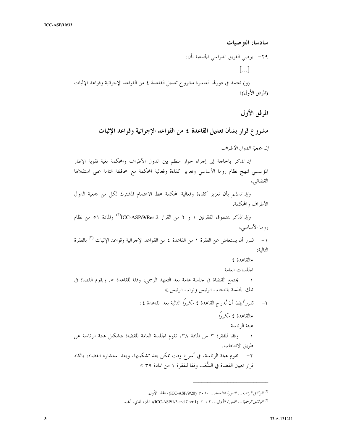سادسا: التوصيات ٢٩– يوصى الفريق الدراسي الجمعية بأن:  $\left[\ldots\right]$ (و) تعتمد في دورتما العاشرة مشروع تعديل القاعدة ٤ من القواعد الإجرائية وقواعد الإثبات (المرفق الأول)؛

المرفق الأول

مشروع قرار بشأن تعديل القاعدة ٤ من القواعد الإجرائية وقواعد الإثبات

إن جمعية اللهول الأطراف

إِ*ذْ تَذَكَر* بالحاجة إلى إجراء حوار منظم بين الدول الأطراف والمحكمة بغية تقوية الإطار المؤسسي لنهج نظام روما الأساسي وتعزيز كفاءة وفعالية المحكمة مع المحافظة التامة على استقلالها القضائي،

وإذ تسلم بأن تعزيز كفاءة وفعالية المحكمة محط الاهتمام المشترك لكل من جمعية الدول الأطراف والمحكمة،

وإ*ذ تذكر بمنطوق الفقرتين ١ و ٢ من القرار TCC-ASP/9/Res.2<sup>)</sup> والمادة ٥١ من نظام* روما الأساسى،

١ – *تقرر* أن يستعاض عن الفقرة ١ من القاعدة ٤ من القواعد الإجرائية وقواعد الإثبات <sup>(٣)</sup> بالفقرة التالية:

«القاعدة ٤ الجلسات العامة ١– يجتمع القضاة في حلسة عامة بعد التعهد الرسمي، وفقًا للقاعدة ٥. ويقوم القضاة في تلك الجلسة بانتخاب الرئيس ونواب الرئيس.»

تقرر *أيضا* أن تُدرج القاعدة ٤ مكررًا التالية بعد القاعدة ٤:  $-\tau$ «القاعدة ٤ مكررًا هيئة الرئاسة ١– وفقًا للفقرة ٣ من المادة ٣٨، تقوم الجلسة العامة للقضاة بتشكيل هيئة الرئاسة عن طريق الانتخاب. ٢− تقوم هيئة الرئاسة، في أسرع وقت ممكن بعد تشكيلها، وبعد استشارة القضاة، باتخاذ قرار تعيين القضاة في الشُّعَب وفقا للفقرة ١ من المادة ٣٩.»

<sup>&</sup>lt;sup>(٢)</sup> ال*وثائق الرسمية... الدورة التاسعة... ٢٠١٠* (ICC-ASP/9/20)، المحلد الأول.

<sup>&</sup>lt;sup>(٣)</sup> *الوثائق الرسمية... الدورة الأولى... ٢٠٠٢* (ICC-ASP/1/3 and Corr.1)، الجزء الثاني. ألف.